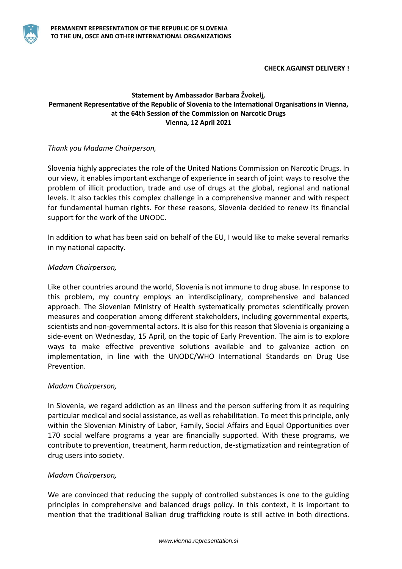

## **Statement by Ambassador Barbara Žvokelj, Permanent Representative of the Republic of Slovenia to the International Organisations in Vienna, at the 64th Session of the Commission on Narcotic Drugs Vienna, 12 April 2021**

# *Thank you Madame Chairperson,*

Slovenia highly appreciates the role of the United Nations Commission on Narcotic Drugs. In our view, it enables important exchange of experience in search of joint ways to resolve the problem of illicit production, trade and use of drugs at the global, regional and national levels. It also tackles this complex challenge in a comprehensive manner and with respect for fundamental human rights. For these reasons, Slovenia decided to renew its financial support for the work of the UNODC.

In addition to what has been said on behalf of the EU, I would like to make several remarks in my national capacity.

## *Madam Chairperson,*

Like other countries around the world, Slovenia is not immune to drug abuse. In response to this problem, my country employs an interdisciplinary, comprehensive and balanced approach. The Slovenian Ministry of Health systematically promotes scientifically proven measures and cooperation among different stakeholders, including governmental experts, scientists and non-governmental actors. It is also for this reason that Slovenia is organizing a side-event on Wednesday, 15 April, on the topic of Early Prevention. The aim is to explore ways to make effective preventive solutions available and to galvanize action on implementation, in line with the UNODC/WHO International Standards on Drug Use Prevention.

## *Madam Chairperson,*

In Slovenia, we regard addiction as an illness and the person suffering from it as requiring particular medical and social assistance, as well as rehabilitation. To meet this principle, only within the Slovenian Ministry of Labor, Family, Social Affairs and Equal Opportunities over 170 social welfare programs a year are financially supported. With these programs, we contribute to prevention, treatment, harm reduction, de-stigmatization and reintegration of drug users into society.

## *Madam Chairperson,*

We are convinced that reducing the supply of controlled substances is one to the guiding principles in comprehensive and balanced drugs policy. In this context, it is important to mention that the traditional Balkan drug trafficking route is still active in both directions.